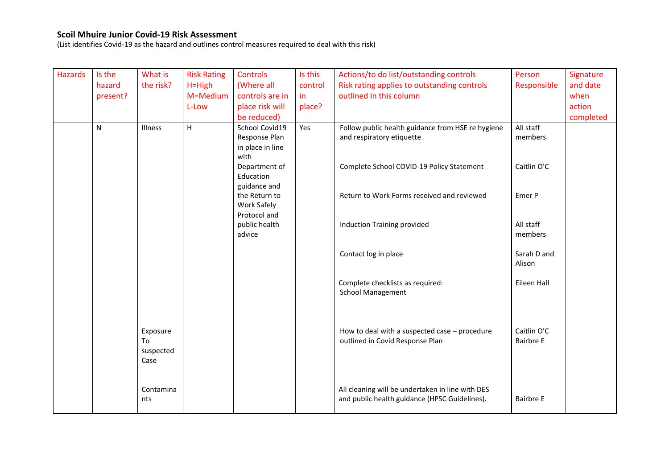(List identifies Covid-19 as the hazard and outlines control measures required to deal with this risk)

| <b>Hazards</b> | Is the   | What is           | <b>Risk Rating</b> | <b>Controls</b>           | Is this | Actions/to do list/outstanding controls           | Person                | Signature |
|----------------|----------|-------------------|--------------------|---------------------------|---------|---------------------------------------------------|-----------------------|-----------|
|                | hazard   | the risk?         | $H=High$           | (Where all                | control | Risk rating applies to outstanding controls       | Responsible           | and date  |
|                | present? |                   | M=Medium           | controls are in           | in.     | outlined in this column                           |                       | when      |
|                |          |                   | L-Low              | place risk will           | place?  |                                                   |                       | action    |
|                |          |                   |                    | be reduced)               |         |                                                   |                       | completed |
|                | N        | Illness           | H                  | School Covid19            | Yes     | Follow public health guidance from HSE re hygiene | All staff             |           |
|                |          |                   |                    | Response Plan             |         | and respiratory etiquette                         | members               |           |
|                |          |                   |                    | in place in line          |         |                                                   |                       |           |
|                |          |                   |                    | with                      |         |                                                   |                       |           |
|                |          |                   |                    | Department of             |         | Complete School COVID-19 Policy Statement         | Caitlin O'C           |           |
|                |          |                   |                    | Education<br>guidance and |         |                                                   |                       |           |
|                |          |                   |                    | the Return to             |         | Return to Work Forms received and reviewed        | Emer P                |           |
|                |          |                   |                    | Work Safely               |         |                                                   |                       |           |
|                |          |                   |                    | Protocol and              |         |                                                   |                       |           |
|                |          |                   |                    | public health             |         | Induction Training provided                       | All staff             |           |
|                |          |                   |                    | advice                    |         |                                                   | members               |           |
|                |          |                   |                    |                           |         |                                                   |                       |           |
|                |          |                   |                    |                           |         | Contact log in place                              | Sarah D and<br>Alison |           |
|                |          |                   |                    |                           |         |                                                   |                       |           |
|                |          |                   |                    |                           |         | Complete checklists as required:                  | Eileen Hall           |           |
|                |          |                   |                    |                           |         | <b>School Management</b>                          |                       |           |
|                |          |                   |                    |                           |         |                                                   |                       |           |
|                |          |                   |                    |                           |         |                                                   |                       |           |
|                |          |                   |                    |                           |         |                                                   |                       |           |
|                |          | Exposure          |                    |                           |         | How to deal with a suspected case - procedure     | Caitlin O'C           |           |
|                |          | To                |                    |                           |         | outlined in Covid Response Plan                   | <b>Bairbre E</b>      |           |
|                |          | suspected<br>Case |                    |                           |         |                                                   |                       |           |
|                |          |                   |                    |                           |         |                                                   |                       |           |
|                |          |                   |                    |                           |         |                                                   |                       |           |
|                |          | Contamina         |                    |                           |         | All cleaning will be undertaken in line with DES  |                       |           |
|                |          | nts               |                    |                           |         | and public health guidance (HPSC Guidelines).     | <b>Bairbre E</b>      |           |
|                |          |                   |                    |                           |         |                                                   |                       |           |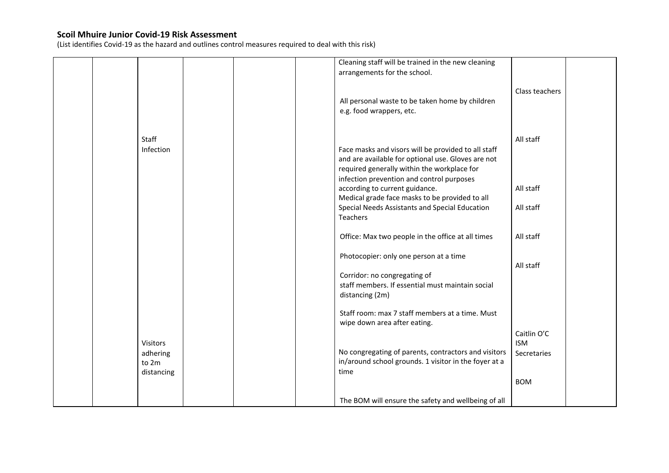(List identifies Covid-19 as the hazard and outlines control measures required to deal with this risk)

|  |                 |  | Cleaning staff will be trained in the new cleaning    |                |  |
|--|-----------------|--|-------------------------------------------------------|----------------|--|
|  |                 |  | arrangements for the school.                          |                |  |
|  |                 |  |                                                       |                |  |
|  |                 |  |                                                       |                |  |
|  |                 |  |                                                       | Class teachers |  |
|  |                 |  | All personal waste to be taken home by children       |                |  |
|  |                 |  | e.g. food wrappers, etc.                              |                |  |
|  |                 |  |                                                       |                |  |
|  |                 |  |                                                       |                |  |
|  |                 |  |                                                       |                |  |
|  | Staff           |  |                                                       | All staff      |  |
|  | Infection       |  | Face masks and visors will be provided to all staff   |                |  |
|  |                 |  | and are available for optional use. Gloves are not    |                |  |
|  |                 |  | required generally within the workplace for           |                |  |
|  |                 |  | infection prevention and control purposes             |                |  |
|  |                 |  |                                                       |                |  |
|  |                 |  | according to current guidance.                        | All staff      |  |
|  |                 |  | Medical grade face masks to be provided to all        |                |  |
|  |                 |  | Special Needs Assistants and Special Education        | All staff      |  |
|  |                 |  | Teachers                                              |                |  |
|  |                 |  |                                                       |                |  |
|  |                 |  |                                                       |                |  |
|  |                 |  | Office: Max two people in the office at all times     | All staff      |  |
|  |                 |  |                                                       |                |  |
|  |                 |  | Photocopier: only one person at a time                |                |  |
|  |                 |  |                                                       | All staff      |  |
|  |                 |  | Corridor: no congregating of                          |                |  |
|  |                 |  |                                                       |                |  |
|  |                 |  | staff members. If essential must maintain social      |                |  |
|  |                 |  | distancing (2m)                                       |                |  |
|  |                 |  |                                                       |                |  |
|  |                 |  | Staff room: max 7 staff members at a time. Must       |                |  |
|  |                 |  | wipe down area after eating.                          |                |  |
|  |                 |  |                                                       |                |  |
|  |                 |  |                                                       | Caitlin O'C    |  |
|  | <b>Visitors</b> |  |                                                       | <b>ISM</b>     |  |
|  | adhering        |  | No congregating of parents, contractors and visitors  | Secretaries    |  |
|  | to 2m           |  | in/around school grounds. 1 visitor in the foyer at a |                |  |
|  | distancing      |  | time                                                  |                |  |
|  |                 |  |                                                       |                |  |
|  |                 |  |                                                       | <b>BOM</b>     |  |
|  |                 |  |                                                       |                |  |
|  |                 |  | The BOM will ensure the safety and wellbeing of all   |                |  |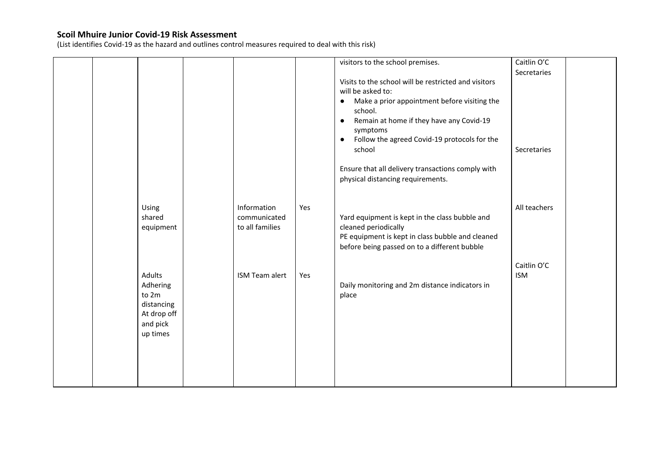(List identifies Covid-19 as the hazard and outlines control measures required to deal with this risk)

|  |             |                 |     | visitors to the school premises.                          | Caitlin O'C  |  |
|--|-------------|-----------------|-----|-----------------------------------------------------------|--------------|--|
|  |             |                 |     |                                                           | Secretaries  |  |
|  |             |                 |     | Visits to the school will be restricted and visitors      |              |  |
|  |             |                 |     | will be asked to:                                         |              |  |
|  |             |                 |     | Make a prior appointment before visiting the<br>٠         |              |  |
|  |             |                 |     | school.                                                   |              |  |
|  |             |                 |     | Remain at home if they have any Covid-19<br>$\bullet$     |              |  |
|  |             |                 |     | symptoms                                                  |              |  |
|  |             |                 |     | Follow the agreed Covid-19 protocols for the<br>$\bullet$ |              |  |
|  |             |                 |     | school                                                    | Secretaries  |  |
|  |             |                 |     |                                                           |              |  |
|  |             |                 |     | Ensure that all delivery transactions comply with         |              |  |
|  |             |                 |     | physical distancing requirements.                         |              |  |
|  |             |                 |     |                                                           |              |  |
|  |             |                 |     |                                                           |              |  |
|  |             | Information     | Yes |                                                           | All teachers |  |
|  | Using       |                 |     |                                                           |              |  |
|  | shared      | communicated    |     | Yard equipment is kept in the class bubble and            |              |  |
|  | equipment   | to all families |     | cleaned periodically                                      |              |  |
|  |             |                 |     | PE equipment is kept in class bubble and cleaned          |              |  |
|  |             |                 |     | before being passed on to a different bubble              |              |  |
|  |             |                 |     |                                                           |              |  |
|  |             |                 |     |                                                           | Caitlin O'C  |  |
|  | Adults      | ISM Team alert  | Yes |                                                           | <b>ISM</b>   |  |
|  | Adhering    |                 |     | Daily monitoring and 2m distance indicators in            |              |  |
|  | to 2m       |                 |     | place                                                     |              |  |
|  | distancing  |                 |     |                                                           |              |  |
|  | At drop off |                 |     |                                                           |              |  |
|  | and pick    |                 |     |                                                           |              |  |
|  | up times    |                 |     |                                                           |              |  |
|  |             |                 |     |                                                           |              |  |
|  |             |                 |     |                                                           |              |  |
|  |             |                 |     |                                                           |              |  |
|  |             |                 |     |                                                           |              |  |
|  |             |                 |     |                                                           |              |  |